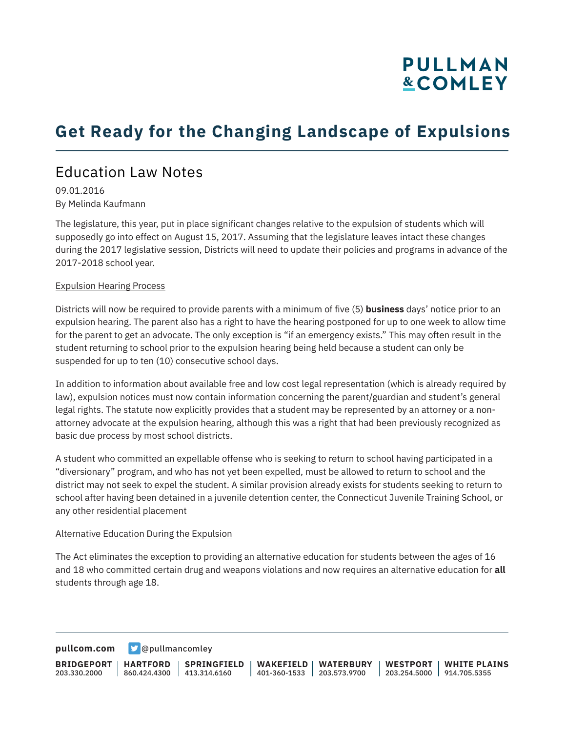## **PULLMAN &COMLEY**

## **Get Ready for the Changing Landscape of Expulsions**

### Education Law Notes

09.01.2016 By Melinda Kaufmann

The legislature, this year, put in place significant changes relative to the expulsion of students which will supposedly go into effect on August 15, 2017. Assuming that the legislature leaves intact these changes during the 2017 legislative session, Districts will need to update their policies and programs in advance of the 2017-2018 school year.

### Expulsion Hearing Process

Districts will now be required to provide parents with a minimum of five (5) **business** days' notice prior to an expulsion hearing. The parent also has a right to have the hearing postponed for up to one week to allow time for the parent to get an advocate. The only exception is "if an emergency exists." This may often result in the student returning to school prior to the expulsion hearing being held because a student can only be suspended for up to ten (10) consecutive school days.

In addition to information about available free and low cost legal representation (which is already required by law), expulsion notices must now contain information concerning the parent/guardian and student's general legal rights. The statute now explicitly provides that a student may be represented by an attorney or a nonattorney advocate at the expulsion hearing, although this was a right that had been previously recognized as basic due process by most school districts.

A student who committed an expellable offense who is seeking to return to school having participated in a "diversionary" program, and who has not yet been expelled, must be allowed to return to school and the district may not seek to expel the student. A similar provision already exists for students seeking to return to school after having been detained in a juvenile detention center, the Connecticut Juvenile Training School, or any other residential placement

### Alternative Education During the Expulsion

The Act eliminates the exception to providing an alternative education for students between the ages of 16 and 18 who committed certain drug and weapons violations and now requires an alternative education for **all** students through age 18.

**[pullcom.com](https://www.pullcom.com) g** [@pullmancomley](https://twitter.com/PullmanComley)

**BRIDGEPORT** 203.330.2000 **HARTFORD** 860.424.4300 413.314.6160 **SPRINGFIELD WAKEFIELD WATERBURY** 401-360-1533 203.573.9700 **WESTPORT WHITE PLAINS** 203.254.5000 914.705.5355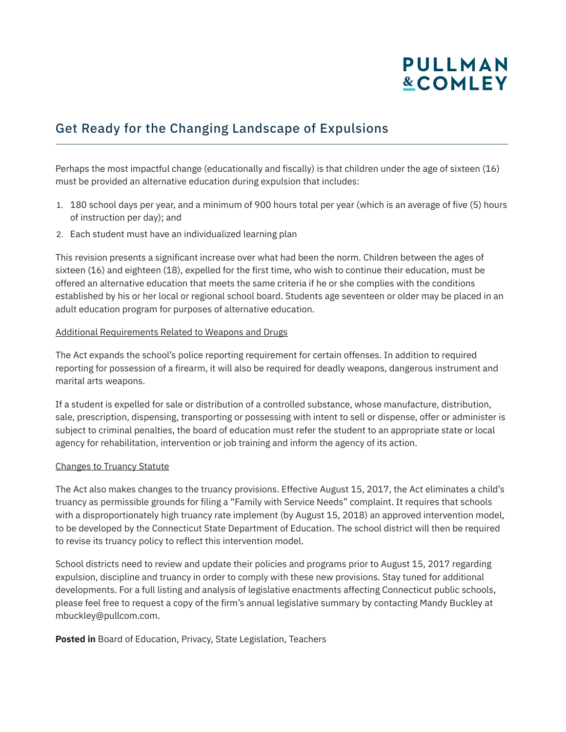# **PULLMAN &COMLEY**

### Get Ready for the Changing Landscape of Expulsions

Perhaps the most impactful change (educationally and fiscally) is that children under the age of sixteen (16) must be provided an alternative education during expulsion that includes:

- 1. 180 school days per year, and a minimum of 900 hours total per year (which is an average of five (5) hours of instruction per day); and
- 2. Each student must have an individualized learning plan

This revision presents a significant increase over what had been the norm. Children between the ages of sixteen (16) and eighteen (18), expelled for the first time, who wish to continue their education, must be offered an alternative education that meets the same criteria if he or she complies with the conditions established by his or her local or regional school board. Students age seventeen or older may be placed in an adult education program for purposes of alternative education.

### Additional Requirements Related to Weapons and Drugs

The Act expands the school's police reporting requirement for certain offenses. In addition to required reporting for possession of a firearm, it will also be required for deadly weapons, dangerous instrument and marital arts weapons.

If a student is expelled for sale or distribution of a controlled substance, whose manufacture, distribution, sale, prescription, dispensing, transporting or possessing with intent to sell or dispense, offer or administer is subject to criminal penalties, the board of education must refer the student to an appropriate state or local agency for rehabilitation, intervention or job training and inform the agency of its action.

### Changes to Truancy Statute

The Act also makes changes to the truancy provisions. Effective August 15, 2017, the Act eliminates a child's truancy as permissible grounds for filing a "Family with Service Needs" complaint. It requires that schools with a disproportionately high truancy rate implement (by August 15, 2018) an approved intervention model, to be developed by the Connecticut State Department of Education. The school district will then be required to revise its truancy policy to reflect this intervention model.

School districts need to review and update their policies and programs prior to August 15, 2017 regarding expulsion, discipline and truancy in order to comply with these new provisions. Stay tuned for additional developments. For a full listing and analysis of legislative enactments affecting Connecticut public schools, please feel free to request a copy of the firm's annual legislative summary by contacting Mandy Buckley at mbuckley@pullcom.com.

### **Posted in** Board of Education, Privacy, State Legislation, Teachers